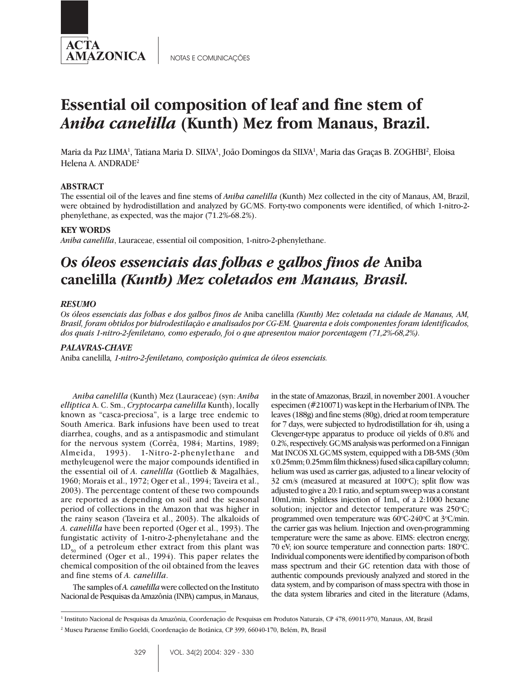

NOTAS E COMUNICAÇÕES

# **Essential oil composition of leaf and fine stem of** *Aniba canelilla* **(Kunth) Mez from Manaus, Brazil.**

Maria da Paz LIMA<sup>1</sup>, Tatiana Maria D. SILVA<sup>1</sup>, João Domingos da SILVA<sup>1</sup>, Maria das Graças B. ZOGHBI<sup>2</sup>, Eloisa Helena A. ANDRADE<sup>2</sup>

### **ABSTRACT**

The essential oil of the leaves and fine stems of *Aniba canelilla* (Kunth) Mez collected in the city of Manaus, AM, Brazil, were obtained by hydrodistillation and analyzed by GC/MS. Forty-two components were identified, of which 1-nitro-2 phenylethane, as expected, was the major (71.2%-68.2%).

#### **KEY WORDS**

*Aniba canelilla*, Lauraceae, essential oil composition, 1-nitro-2-phenylethane.

## *Os óleos essenciais das folhas e galhos finos de* **Aniba canelilla** *(Kunth) Mez coletados em Manaus, Brasil.*

### *RESUMO*

*Os óleos essenciais das folhas e dos galhos finos de* Aniba canelilla *(Kunth) Mez coletada na cidade de Manaus, AM, Brasil, foram obtidos por hidrodestilação e analisados por CG-EM. Quarenta e dois componentes foram identificados, dos quais 1-nitro-2-feniletano, como esperado, foi o que apresentou maior porcentagem (71,2%-68,2%).*

#### *PALAVRAS-CHAVE*

Aniba canelilla*, 1-nitro-2-feniletano, composição química de óleos essenciais.*

*Aniba canelilla* (Kunth) Mez (Lauraceae) (syn: *Aniba elliptica* A. C. Sm., *Cryptocarpa canelilla* Kunth), locally known as "casca-preciosa", is a large tree endemic to South America. Bark infusions have been used to treat diarrhea, coughs, and as a antispasmodic and stimulant for the nervous system (Corrêa, 1984; Martins, 1989; Almeida, 1993). 1-Nitro-2-phenylethane and methyleugenol were the major compounds identified in the essential oil of *A. canelilla* (Gottlieb & Magalhães, 1960; Morais et al., 1972; Oger et al., 1994; Taveira et al., 2003). The percentage content of these two compounds are reported as depending on soil and the seasonal period of collections in the Amazon that was higher in the rainy season (Taveira et al., 2003). The alkaloids of *A. canelilla* have been reported (Oger et al., 1993). The fungistatic activity of 1-nitro-2-phenyletahane and the  $LD_{50}$  of a petroleum ether extract from this plant was determined (Oger et al., 1994). This paper relates the chemical composition of the oil obtained from the leaves and fine stems of *A. canelilla*.

The samples of *A. canelilla* were collected on the Instituto Nacional de Pesquisas da Amazônia (INPA) campus, in Manaus,

in the state of Amazonas, Brazil, in november 2001. A voucher especimen (#210071) was kept in the Herbarium of INPA. The leaves (188g) and fine stems (80g), dried at room temperature for 7 days, were subjected to hydrodistillation for 4h, using a Clevenger-type apparatus to produce oil yields of 0.8% and 0.2%, respectively. GC/MS analysis was performed on a Finnigan Mat INCOS XL GC/MS system, equipped with a DB-5MS (30m x 0.25mm; 0.25mm film thickness) fused silica capillary column; helium was used as carrier gas, adjusted to a linear velocity of 32 cm/s (measured at measured at  $100^{\circ}$ C); split flow was adjusted to give a 20:1 ratio, and septum sweep was a constant 10mL/min. Splitless injection of 1mL, of a 2:1000 hexane solution; injector and detector temperature was  $250^{\circ}$ C; programmed oven temperature was 60°C-240°C at 3°C/min. the carrier gas was helium. Injection and oven-programming temperature were the same as above. EIMS: electron energy, 70 eV; ion source temperature and connection parts: 180°C. Individual components were identified by comparison of both mass spectrum and their GC retention data with those of authentic compounds previously analyzed and stored in the data system, and by comparison of mass spectra with those in the data system libraries and cited in the literature (Adams,

<sup>1</sup> Instituto Nacional de Pesquisas da Amazônia, Coordenação de Pesquisas em Produtos Naturais, CP 478, 69011-970, Manaus, AM, Brasil

<sup>2</sup> Museu Paraense Emílio Goeldi, Coordenação de Botânica, CP 399, 66040-170, Belém, PA, Brasil